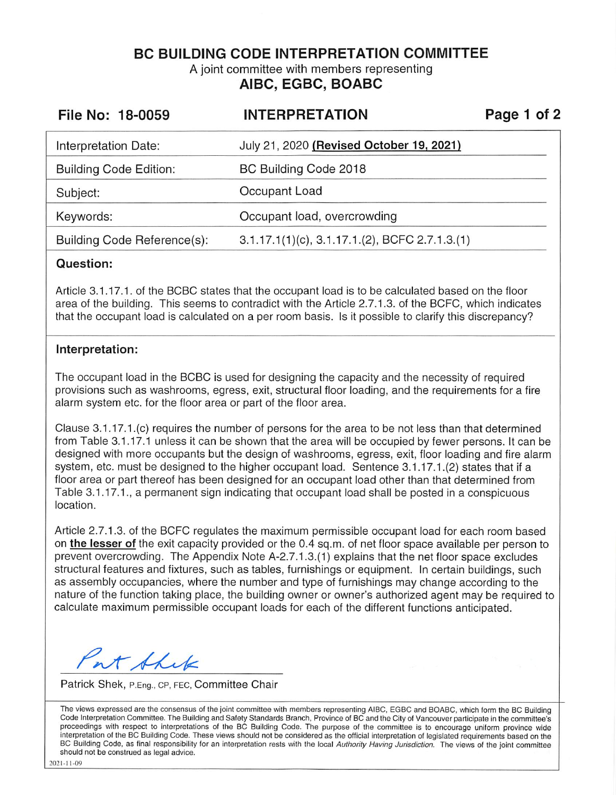**BC BUILDING CODE INTERPRETATION COMMITTEE** 

A joint committee with members representing **AIBC, EGBC, BOABC** 

| File No: 18-0059              | <b>INTERPRETATION</b>                                | Page 1 of 2 |
|-------------------------------|------------------------------------------------------|-------------|
| Interpretation Date:          | July 21, 2020 (Revised October 19, 2021)             |             |
| <b>Building Code Edition:</b> | BC Building Code 2018                                |             |
| Subject:                      | Occupant Load                                        |             |
| Keywords:                     | Occupant load, overcrowding                          |             |
| Building Code Reference(s):   | $3.1.17.1(1)(c)$ , $3.1.17.1(2)$ , BCFC $2.7.1.3(1)$ |             |

## **Question:**

Article 3.1 .17.1. of the BCBC states that the occupant load is to be calculated based on the floor area of the building. This seems to contradict with the Article 2.7.1.3. of the BCFC, which indicates that the occupant load is calculated on a per room basis. Is it possible to clarify this discrepancy?

## **Interpretation:**

The occupant load in the BCBC is used for designing the capacity and the necessity of required provisions such as washrooms, egress, exit, structural floor loading, and the requirements for a fire alarm system etc. for the floor area or part of the floor area.

Clause 3.1.17.1 .(c) requires the number of persons for the area to be not less than that determined from Table 3.1.17.1 unless it can be shown that the area will be occupied by fewer persons. It can be designed with more occupants but the design of washrooms, egress, exit, floor loading and fire alarm system, etc. must be designed to the higher occupant load. Sentence 3.1.17.1.(2) states that if a floor area or part thereof has been designed for an occupant load other than that determined from Table 3.1 .17.1., a permanent sign indicating that occupant load shall be posted in a conspicuous location.

Article 2.7.1.3. of the BCFC regulates the maximum permissible occupant load for each room based on **the lesser of** the exit capacity provided or the 0.4 sq.m. of net floor space available per person to prevent overcrowding. The Appendix Note A-2.7.1.3.(1) explains that the net floor space excludes structural features and fixtures, such as tables, furnishings or equipment. In certain buildings, such as assembly occupancies, where the number and type of furnishings may change according to the nature of the function taking place, the building owner or owner's authorized agent may be required to calculate maximum permissible occupant loads for each of the different functions anticipated.

at this

Patrick Shek, P.Eng., CP, FEC, Committee Chair

The views expressed are the consensus of the joint committee with members representing AIBC, EGBC and BOABC, which form the BC Building Code Interpretation Committee. The Building and Safety Standards Branch, Province of BC and the City of Vancouver participate in the committee's proceedings with respect to interpretations of the BC Building Code. The purpose of the committee is to encourage uniform province wide interpretation of the BC Building Code. These views should not be considered as the official interpretation of legislated requirements based on the BC Building Code, as final responsibility for an interpretation rests with the local Authority Having Jurisdiction. The views of the joint committee should not be construed as legal advice.